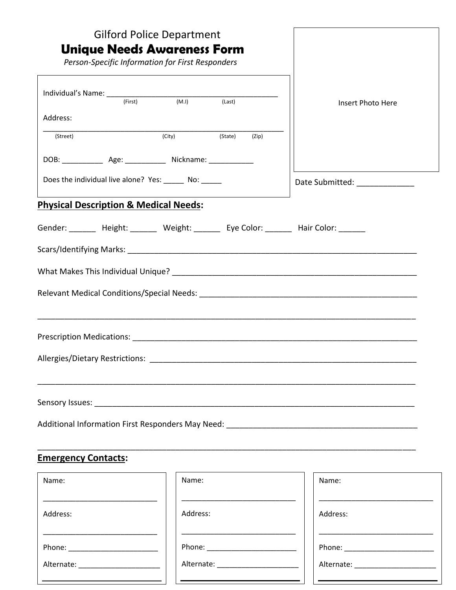| <b>Gilford Police Department</b><br><b>Unique Needs Awareness Form</b><br>Person-Specific Information for First Responders |                            |                   |
|----------------------------------------------------------------------------------------------------------------------------|----------------------------|-------------------|
| Individual's Name: $\frac{1}{(First)}$ (First) (M.I)                                                                       | $\frac{1}{\text{(Last)}}$  | Insert Photo Here |
| Address:                                                                                                                   |                            |                   |
| (Street)                                                                                                                   | (State)<br>(City)<br>(Zip) |                   |
| DOB: _________________ Age: _________________ Nickname: ________________________                                           |                            |                   |
| Does the individual live alone? Yes: ______ No: _____                                                                      |                            |                   |
| <b>Physical Description &amp; Medical Needs:</b>                                                                           |                            |                   |
| Gender: _______ Height: _______ Weight: ______ Eye Color: ______ Hair Color: ______                                        |                            |                   |
|                                                                                                                            |                            |                   |
|                                                                                                                            |                            |                   |
|                                                                                                                            |                            |                   |
|                                                                                                                            |                            |                   |
|                                                                                                                            |                            |                   |
|                                                                                                                            |                            |                   |
|                                                                                                                            |                            |                   |
|                                                                                                                            |                            |                   |
| <b>Emergency Contacts:</b>                                                                                                 |                            |                   |
| Name:                                                                                                                      | Name:                      | Name:             |
| Address:                                                                                                                   | Address:                   | Address:          |

Address:

\_\_\_\_\_\_\_\_\_\_\_\_\_\_\_\_\_\_\_\_\_\_\_\_\_\_\_\_

\_\_\_\_\_\_\_\_\_\_\_\_\_\_\_\_\_\_\_\_\_\_\_\_\_\_\_\_

Phone: \_\_\_\_\_\_\_\_\_\_\_\_\_\_\_\_\_\_\_\_\_\_

Alternate: \_\_\_\_\_\_\_\_\_\_\_\_\_\_\_\_\_\_\_\_

Phone: \_\_\_\_\_\_\_\_\_\_\_\_\_\_\_\_\_\_\_\_\_\_

Alternate: \_\_\_\_\_\_\_\_\_\_\_\_\_\_\_\_\_\_\_\_

Address: \_\_\_\_\_\_\_\_\_\_\_\_\_\_\_\_\_\_\_\_\_\_\_\_\_\_\_\_ Phone: \_\_\_\_\_\_\_\_\_\_\_\_\_\_\_\_\_\_\_\_\_\_ Alternate: \_\_\_\_\_\_\_\_\_\_\_\_\_\_\_\_\_\_\_\_